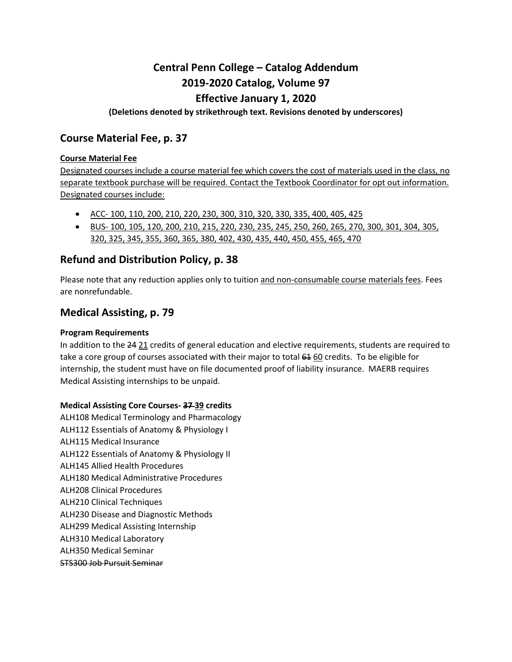# **Central Penn College – Catalog Addendum 2019-2020 Catalog, Volume 97**

## **Effective January 1, 2020**

#### **(Deletions denoted by strikethrough text. Revisions denoted by underscores)**

## **Course Material Fee, p. 37**

#### **Course Material Fee**

Designated courses include a course material fee which covers the cost of materials used in the class, no separate textbook purchase will be required. Contact the Textbook Coordinator for opt out information. Designated courses include:

- ACC- 100, 110, 200, 210, 220, 230, 300, 310, 320, 330, 335, 400, 405, 425
- BUS- 100, 105, 120, 200, 210, 215, 220, 230, 235, 245, 250, 260, 265, 270, 300, 301, 304, 305, 320, 325, 345, 355, 360, 365, 380, 402, 430, 435, 440, 450, 455, 465, 470

## **Refund and Distribution Policy, p. 38**

Please note that any reduction applies only to tuition and non-consumable course materials fees. Fees are nonrefundable.

## **Medical Assisting, p. 79**

#### **Program Requirements**

In addition to the 24 21 credits of general education and elective requirements, students are required to take a core group of courses associated with their major to total  $64\,60$  credits. To be eligible for internship, the student must have on file documented proof of liability insurance. MAERB requires Medical Assisting internships to be unpaid.

#### **Medical Assisting Core Courses- 37 39 credits**

ALH108 Medical Terminology and Pharmacology ALH112 Essentials of Anatomy & Physiology I ALH115 Medical Insurance ALH122 Essentials of Anatomy & Physiology II ALH145 Allied Health Procedures ALH180 Medical Administrative Procedures ALH208 Clinical Procedures ALH210 Clinical Techniques ALH230 Disease and Diagnostic Methods ALH299 Medical Assisting Internship ALH310 Medical Laboratory ALH350 Medical Seminar STS300 Job Pursuit Seminar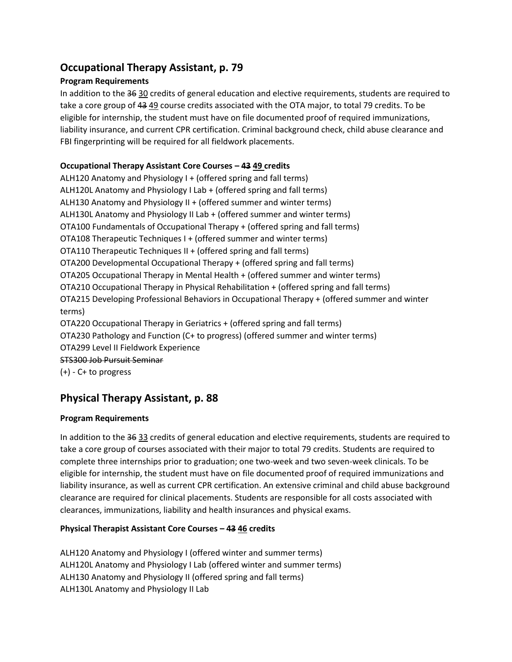## **Occupational Therapy Assistant, p. 79**

#### **Program Requirements**

In addition to the 36 30 credits of general education and elective requirements, students are required to take a core group of 43 49 course credits associated with the OTA major, to total 79 credits. To be eligible for internship, the student must have on file documented proof of required immunizations, liability insurance, and current CPR certification. Criminal background check, child abuse clearance and FBI fingerprinting will be required for all fieldwork placements.

#### **Occupational Therapy Assistant Core Courses – 43 49 credits**

ALH120 Anatomy and Physiology I + (offered spring and fall terms) ALH120L Anatomy and Physiology I Lab + (offered spring and fall terms) ALH130 Anatomy and Physiology II + (offered summer and winter terms) ALH130L Anatomy and Physiology II Lab + (offered summer and winter terms) OTA100 Fundamentals of Occupational Therapy + (offered spring and fall terms) OTA108 Therapeutic Techniques I + (offered summer and winter terms) OTA110 Therapeutic Techniques II + (offered spring and fall terms) OTA200 Developmental Occupational Therapy + (offered spring and fall terms) OTA205 Occupational Therapy in Mental Health + (offered summer and winter terms) OTA210 Occupational Therapy in Physical Rehabilitation + (offered spring and fall terms) OTA215 Developing Professional Behaviors in Occupational Therapy + (offered summer and winter terms) OTA220 Occupational Therapy in Geriatrics + (offered spring and fall terms) OTA230 Pathology and Function (C+ to progress) (offered summer and winter terms) OTA299 Level II Fieldwork Experience STS300 Job Pursuit Seminar (+) - C+ to progress

# **Physical Therapy Assistant, p. 88**

## **Program Requirements**

In addition to the 36 33 credits of general education and elective requirements, students are required to take a core group of courses associated with their major to total 79 credits. Students are required to complete three internships prior to graduation; one two-week and two seven-week clinicals. To be eligible for internship, the student must have on file documented proof of required immunizations and liability insurance, as well as current CPR certification. An extensive criminal and child abuse background clearance are required for clinical placements. Students are responsible for all costs associated with clearances, immunizations, liability and health insurances and physical exams.

## **Physical Therapist Assistant Core Courses – 43 46 credits**

ALH120 Anatomy and Physiology I (offered winter and summer terms) ALH120L Anatomy and Physiology I Lab (offered winter and summer terms) ALH130 Anatomy and Physiology II (offered spring and fall terms) ALH130L Anatomy and Physiology II Lab